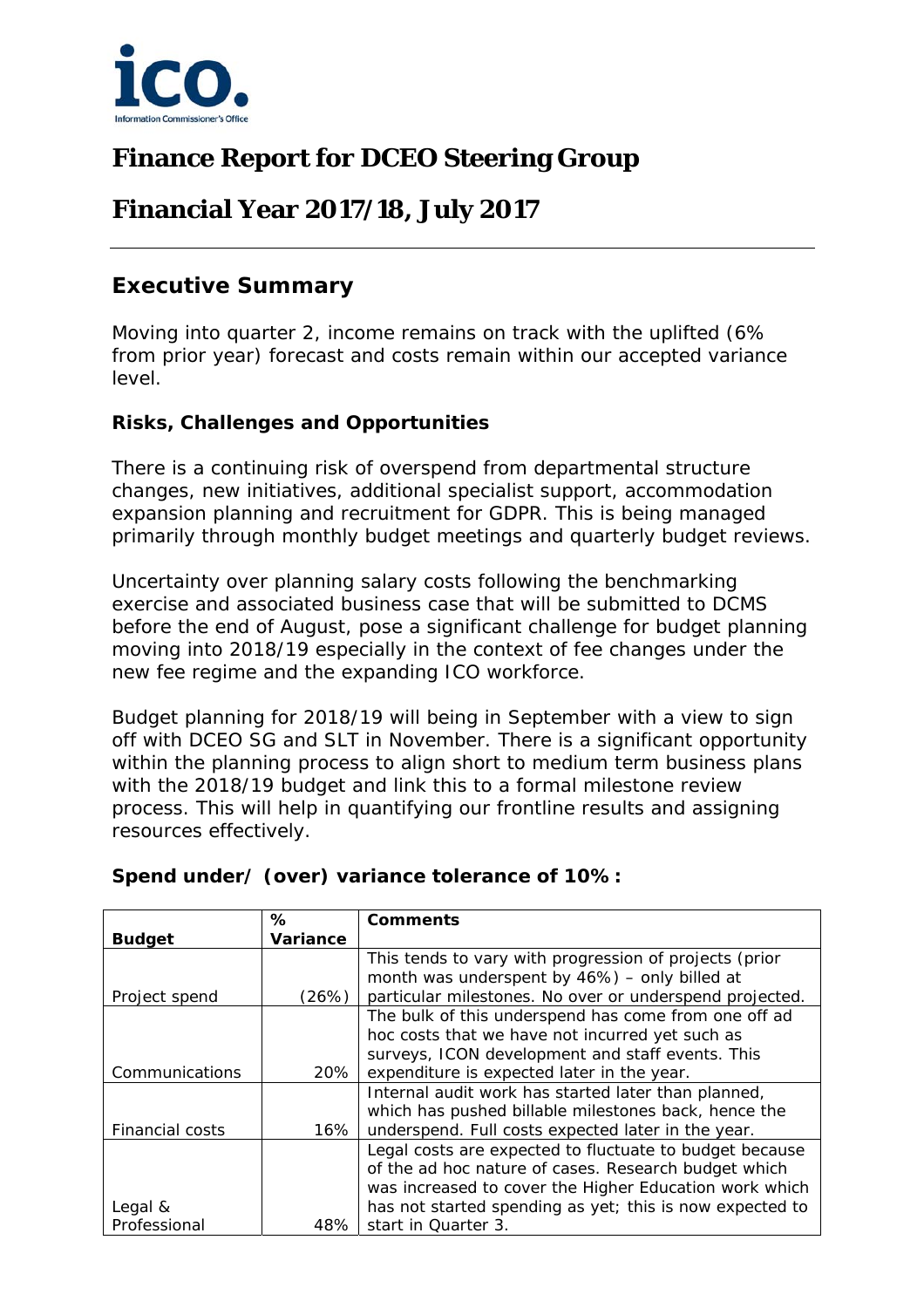

# **Finance Report for DCEO Steering Group**

# **Financial Year 2017/18, July 2017**

## **Executive Summary**

Moving into quarter 2, income remains on track with the uplifted (6% from prior year) forecast and costs remain within our accepted variance level.

### **Risks, Challenges and Opportunities**

There is a continuing risk of overspend from departmental structure changes, new initiatives, additional specialist support, accommodation expansion planning and recruitment for GDPR. This is being managed primarily through monthly budget meetings and quarterly budget reviews.

Uncertainty over planning salary costs following the benchmarking exercise and associated business case that will be submitted to DCMS before the end of August, pose a significant challenge for budget planning moving into 2018/19 especially in the context of fee changes under the new fee regime and the expanding ICO workforce.

Budget planning for 2018/19 will being in September with a view to sign off with DCEO SG and SLT in November. There is a significant opportunity within the planning process to align short to medium term business plans with the 2018/19 budget and link this to a formal milestone review process. This will help in quantifying our frontline results and assigning resources effectively.

|                 | $\%$            | <b>Comments</b>                                          |
|-----------------|-----------------|----------------------------------------------------------|
| <b>Budget</b>   | <b>Variance</b> |                                                          |
|                 |                 | This tends to vary with progression of projects (prior   |
|                 |                 | month was underspent by 46%) - only billed at            |
| Project spend   | (26%)           | particular milestones. No over or underspend projected.  |
|                 |                 | The bulk of this underspend has come from one off ad     |
|                 |                 | hoc costs that we have not incurred yet such as          |
|                 |                 | surveys, ICON development and staff events. This         |
| Communications  | 20%             | expenditure is expected later in the year.               |
|                 |                 | Internal audit work has started later than planned,      |
|                 |                 | which has pushed billable milestones back, hence the     |
| Financial costs | 16%             | underspend. Full costs expected later in the year.       |
|                 |                 | Legal costs are expected to fluctuate to budget because  |
|                 |                 | of the ad hoc nature of cases. Research budget which     |
|                 |                 | was increased to cover the Higher Education work which   |
| Legal &         |                 | has not started spending as yet; this is now expected to |
| Professional    | 48%             | start in Quarter 3.                                      |

### **Spend under/ (over) variance tolerance of 10%:**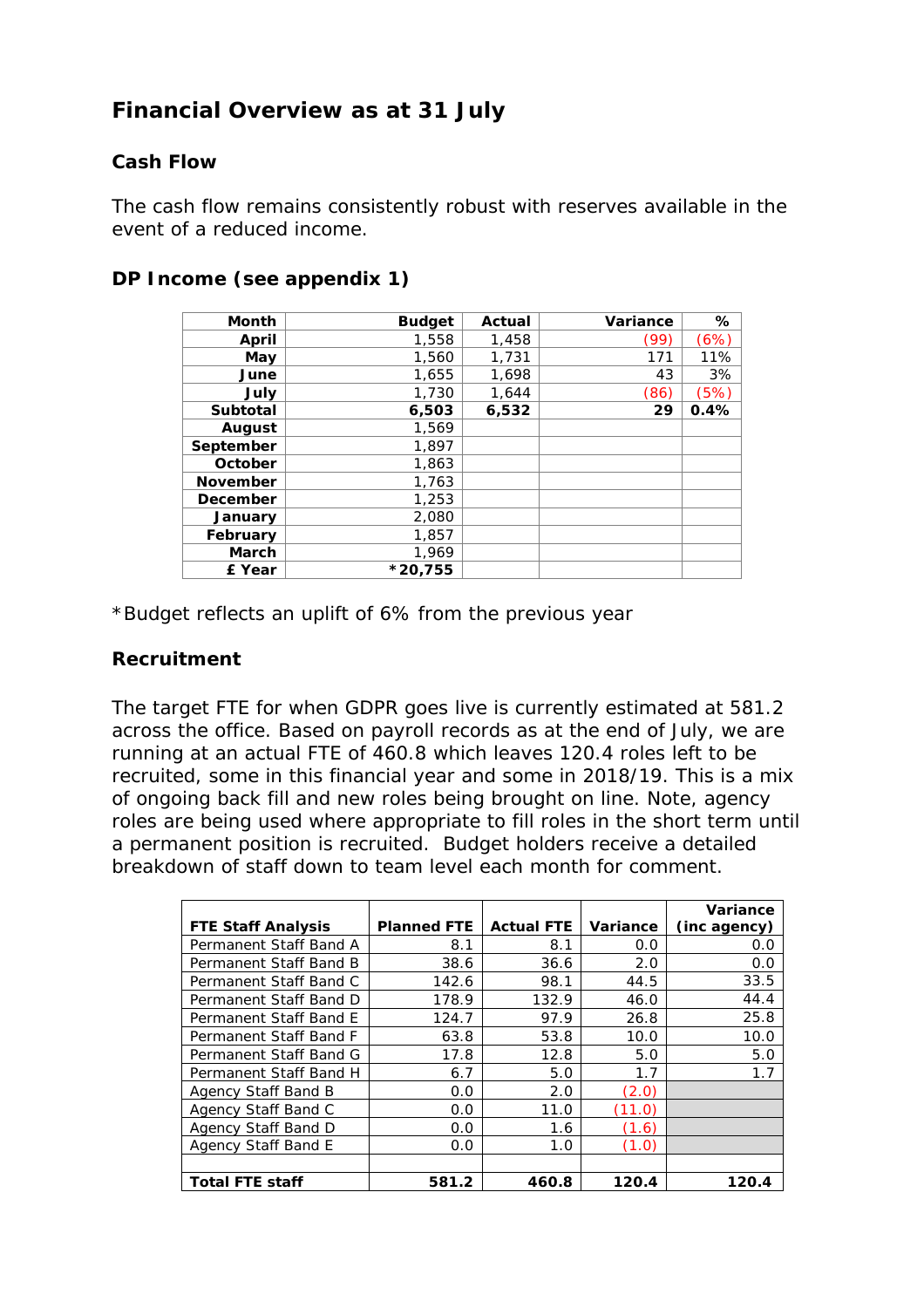# **Financial Overview as at 31 July**

### **Cash Flow**

The cash flow remains consistently robust with reserves available in the event of a reduced income.

| <b>Month</b>    | <b>Budget</b> | Actual | Variance | %    |
|-----------------|---------------|--------|----------|------|
| April           | 1,558         | 1,458  | (99)     | (6%) |
| May             | 1,560         | 1,731  | 171      | 11%  |
| June            | 1,655         | 1,698  | 43       | 3%   |
| July            | 1,730         | 1,644  | (86)     | (5%) |
| <b>Subtotal</b> | 6,503         | 6,532  | 29       | 0.4% |
| <b>August</b>   | 1,569         |        |          |      |
| September       | 1,897         |        |          |      |
| October         | 1,863         |        |          |      |
| <b>November</b> | 1,763         |        |          |      |
| <b>December</b> | 1,253         |        |          |      |
| January         | 2,080         |        |          |      |
| February        | 1,857         |        |          |      |
| <b>March</b>    | 1,969         |        |          |      |
| £ Year          | *20,755       |        |          |      |

## **DP Income (see appendix 1)**

\*Budget reflects an uplift of 6% from the previous year

### **Recruitment**

The target FTE for when GDPR goes live is currently estimated at 581.2 across the office. Based on payroll records as at the end of July, we are running at an actual FTE of 460.8 which leaves 120.4 roles left to be recruited, some in this financial year and some in 2018/19. This is a mix of ongoing back fill and new roles being brought on line. Note, agency roles are being used where appropriate to fill roles in the short term until a permanent position is recruited. Budget holders receive a detailed breakdown of staff down to team level each month for comment.

|                           |                    |                   |          | Variance     |
|---------------------------|--------------------|-------------------|----------|--------------|
| <b>FTE Staff Analysis</b> | <b>Planned FTE</b> | <b>Actual FTE</b> | Variance | (inc agency) |
| Permanent Staff Band A    | 8.1                | 8.1               | 0.0      | 0.0          |
| Permanent Staff Band B    | 38.6               | 36.6              | 2.0      | 0.0          |
| Permanent Staff Band C    | 142.6              | 98.1              | 44.5     | 33.5         |
| Permanent Staff Band D    | 178.9              | 132.9             | 46.0     | 44.4         |
| Permanent Staff Band E    | 124.7              | 97.9              | 26.8     | 25.8         |
| Permanent Staff Band F    | 63.8               | 53.8              | 10.0     | 10.0         |
| Permanent Staff Band G    | 17.8               | 12.8              | 5.0      | 5.0          |
| Permanent Staff Band H    | 6.7                | 5.0               | 1.7      | 1.7          |
| Agency Staff Band B       | 0.0                | 2.0               | (2.0)    |              |
| Agency Staff Band C       | 0.0                | 11.0              | (11.0)   |              |
| Agency Staff Band D       | 0.0                | 1.6               | (1.6)    |              |
| Agency Staff Band E       | 0.0                | 1.0               | (1.0)    |              |
|                           |                    |                   |          |              |
| <b>Total FTE staff</b>    | 581.2              | 460.8             | 120.4    | 120.4        |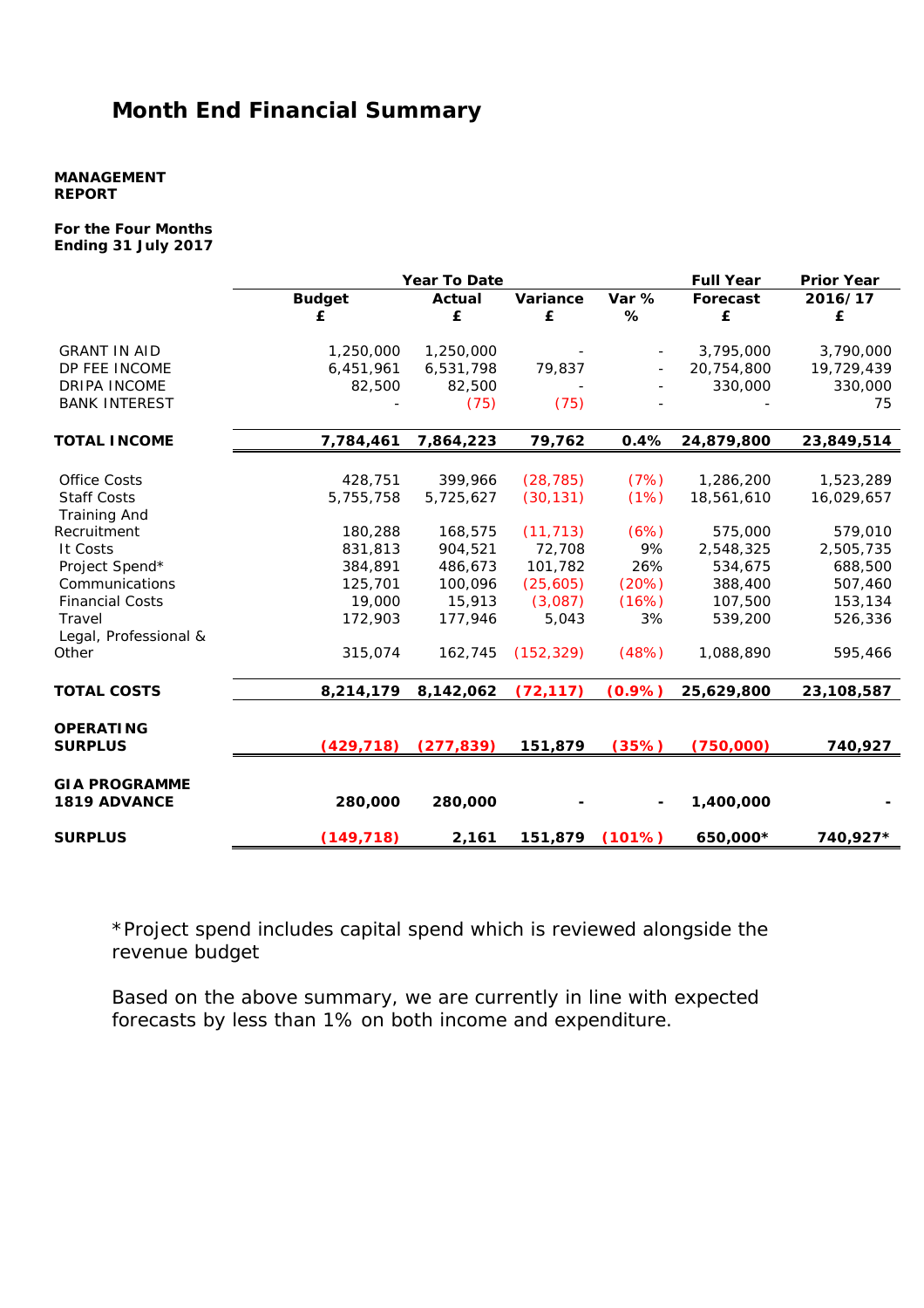## **Month End Financial Summary**

#### **MANAGEMENT REPORT**

#### **For the Four Months Ending 31 July 2017**

|                        |               | <b>Year To Date</b> |            |        | <b>Full Year</b> | <b>Prior Year</b> |
|------------------------|---------------|---------------------|------------|--------|------------------|-------------------|
|                        | <b>Budget</b> | Actual              | Variance   | Var %  | Forecast         | 2016/17           |
|                        | £             | £                   | £          | %      | £                | £                 |
| <b>GRANT IN AID</b>    | 1,250,000     | 1,250,000           |            |        | 3,795,000        | 3,790,000         |
| DP FEE INCOME          | 6,451,961     | 6,531,798           | 79,837     |        | 20,754,800       | 19,729,439        |
| <b>DRIPA INCOME</b>    | 82,500        | 82,500              |            |        | 330,000          | 330,000           |
| <b>BANK INTEREST</b>   |               | (75)                | (75)       |        |                  | 75                |
| <b>TOTAL INCOME</b>    | 7,784,461     | 7,864,223           | 79,762     | 0.4%   | 24,879,800       | 23,849,514        |
|                        |               |                     |            |        |                  |                   |
| <b>Office Costs</b>    | 428,751       | 399,966             | (28, 785)  | (7%)   | 1,286,200        | 1,523,289         |
| <b>Staff Costs</b>     | 5,755,758     | 5,725,627           | (30, 131)  | (1%)   | 18,561,610       | 16,029,657        |
| <b>Training And</b>    |               |                     |            |        |                  |                   |
| Recruitment            | 180,288       | 168,575             | (11, 713)  | (6%)   | 575,000          | 579,010           |
| It Costs               | 831,813       | 904,521             | 72,708     | 9%     | 2,548,325        | 2,505,735         |
| Project Spend*         | 384,891       | 486,673             | 101,782    | 26%    | 534,675          | 688,500           |
| Communications         | 125,701       | 100,096             | (25, 605)  | (20%)  | 388,400          | 507,460           |
| <b>Financial Costs</b> | 19,000        | 15,913              | (3,087)    | (16%)  | 107,500          | 153,134           |
| Travel                 | 172,903       | 177,946             | 5,043      | 3%     | 539,200          | 526,336           |
| Legal, Professional &  |               |                     |            |        |                  |                   |
| Other                  | 315,074       | 162,745             | (152, 329) | (48%)  | 1,088,890        | 595,466           |
| <b>TOTAL COSTS</b>     | 8,214,179     | 8,142,062           | (72, 117)  | (0.9%  | 25,629,800       | 23,108,587        |
| <b>OPERATING</b>       |               |                     |            |        |                  |                   |
| <b>SURPLUS</b>         | (429, 718)    | (277, 839)          | 151,879    | (35%)  | (750,000)        | 740,927           |
|                        |               |                     |            |        |                  |                   |
| <b>GIA PROGRAMME</b>   |               |                     |            |        |                  |                   |
| 1819 ADVANCE           | 280,000       | 280,000             |            |        | 1,400,000        |                   |
| <b>SURPLUS</b>         | (149, 718)    | 2,161               | 151,879    | (101%) | 650,000*         | 740,927*          |

\*Project spend includes capital spend which is reviewed alongside the revenue budget

Based on the above summary, we are currently in line with expected forecasts by less than 1% on both income and expenditure.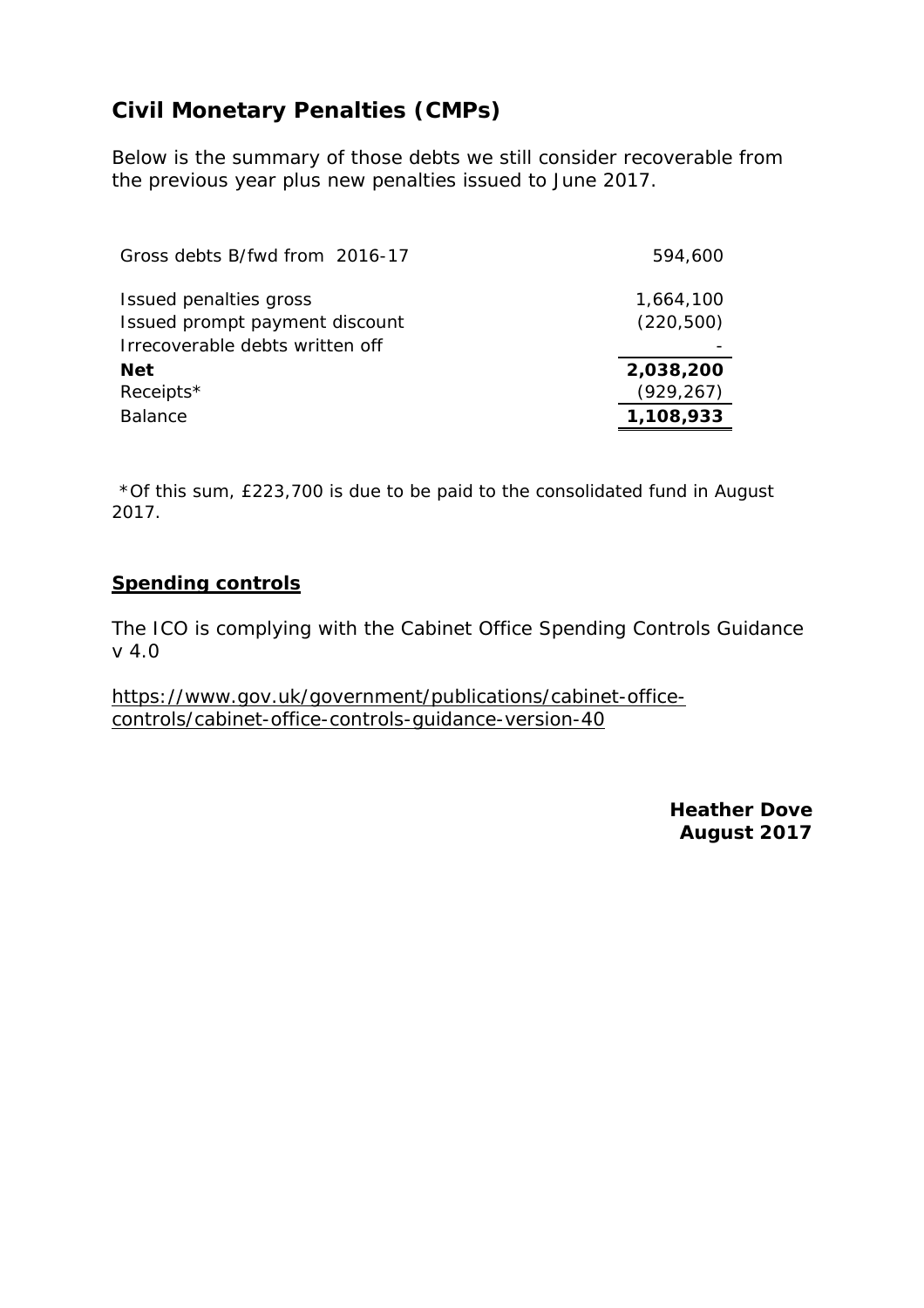# **Civil Monetary Penalties (CMPs)**

Below is the summary of those debts we still consider recoverable from the previous year plus new penalties issued to June 2017.

| Gross debts B/fwd from 2016-17                           | 594,600                 |
|----------------------------------------------------------|-------------------------|
| Issued penalties gross<br>Issued prompt payment discount | 1,664,100<br>(220, 500) |
| Irrecoverable debts written off                          |                         |
| <b>Net</b>                                               | 2,038,200               |
| Receipts*                                                | (929, 267)              |
| <b>Balance</b>                                           | 1,108,933               |
|                                                          |                         |

\*Of this sum, £223,700 is due to be paid to the consolidated fund in August 2017.

### **Spending controls**

The ICO is complying with the Cabinet Office Spending Controls Guidance v 4.0

https://www.gov.uk/government/publications/cabinet-officecontrols/cabinet-office-controls-guidance-version-40

> **Heather Dove August 2017**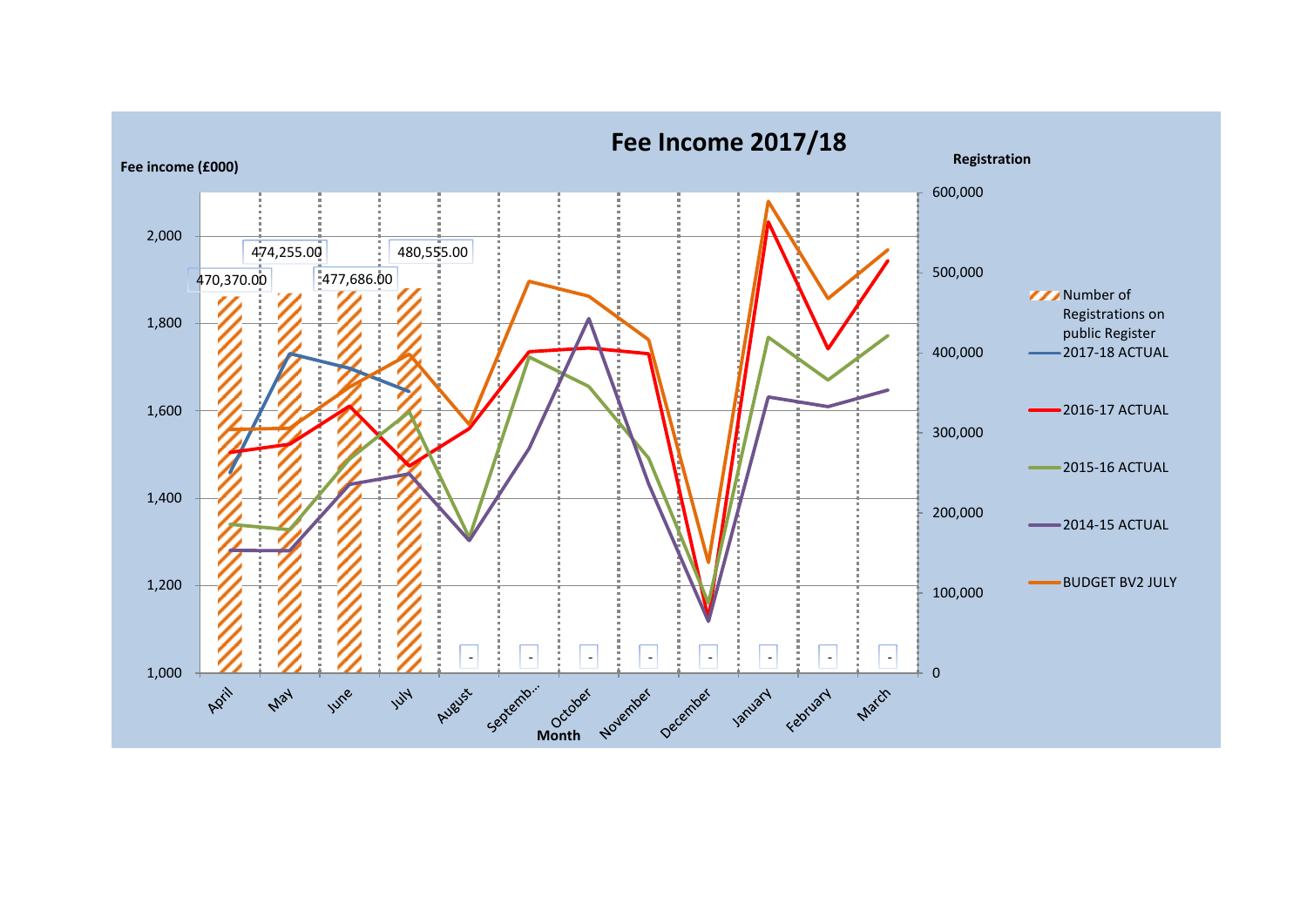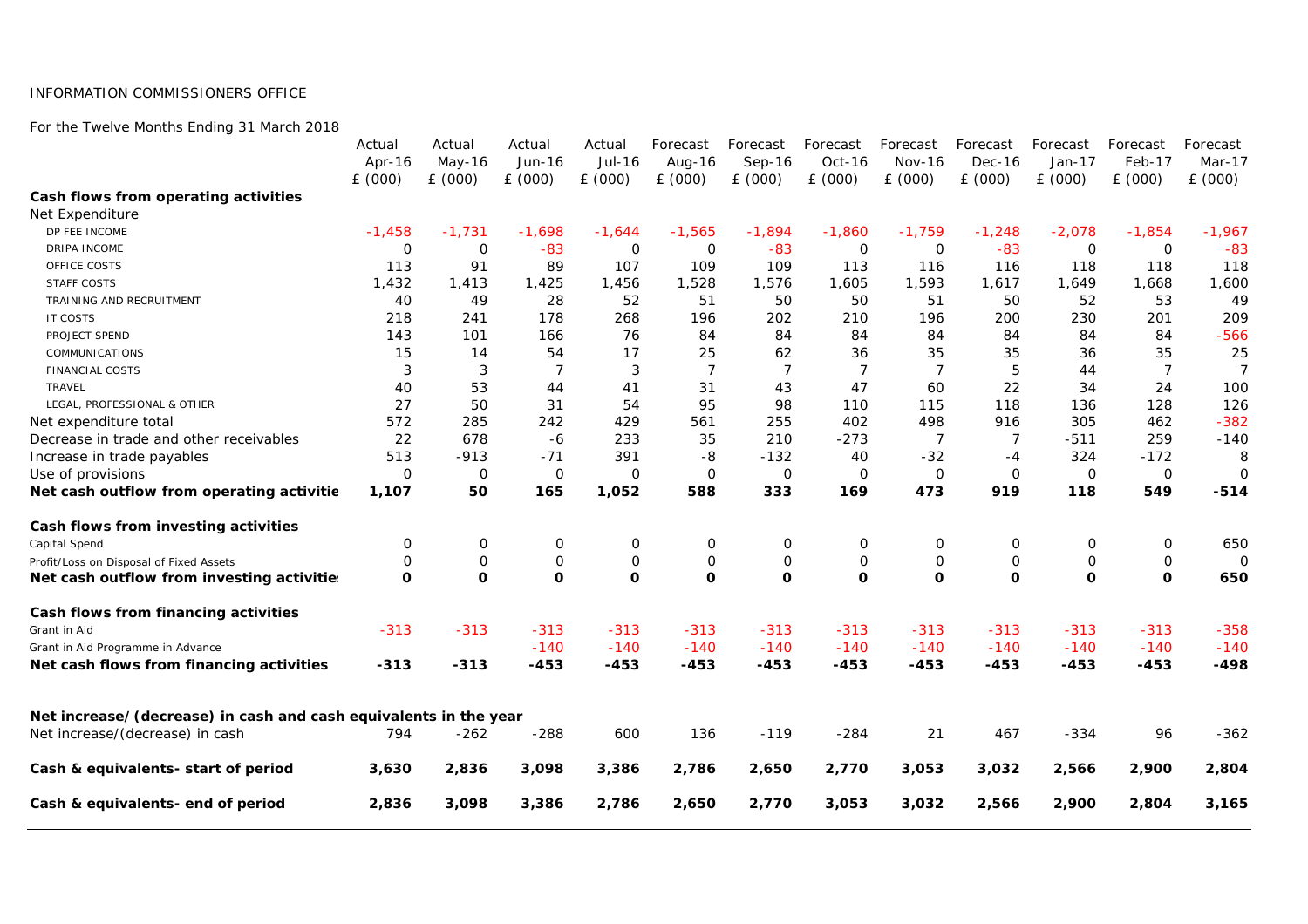#### INFORMATION COMMISSIONERS OFFICE

For the Twelve Months Ending 31 March 2018

|                                                                  | Actual      | Actual   | Actual         | Actual       | Forecast       | Forecast            | Forecast            | Forecast       | Forecast         | Forecast     | Forecast       | Forecast       |
|------------------------------------------------------------------|-------------|----------|----------------|--------------|----------------|---------------------|---------------------|----------------|------------------|--------------|----------------|----------------|
|                                                                  | Apr-16      | May-16   | Jun-16         | Jul-16       | Aug-16         | Sep-16              | Oct-16              | Nov-16         | $Dec-16$         | Jan-17       | Feb-17         | Mar-17         |
|                                                                  | £ (000)     | E(000)   | E(000)         | E(000)       | E(000)         | £ (000)             | E(000)              | E(000)         | E(000)           | E(000)       | E(000)         | E(000)         |
| Cash flows from operating activities                             |             |          |                |              |                |                     |                     |                |                  |              |                |                |
| Net Expenditure                                                  |             |          |                |              |                |                     |                     |                |                  |              |                |                |
| DP FEE INCOME                                                    | $-1,458$    | $-1,731$ | $-1,698$       | $-1,644$     | $-1,565$       | $-1,894$            | $-1,860$            | $-1,759$       | $-1,248$         | $-2,078$     | $-1,854$       | $-1,967$       |
| <b>DRIPA INCOME</b>                                              | 0           | $\Omega$ | $-83$          | $\mathbf 0$  | $\mathbf 0$    | $-83$               | 0                   | $\mathsf{O}$   | $-83$            | 0            | 0              | $-83$          |
| OFFICE COSTS                                                     | 113         | 91       | 89             | 107          | 109            | 109                 | 113                 | 116            | 116              | 118          | 118            | 118            |
| <b>STAFF COSTS</b>                                               | 1,432       | 1.413    | 1,425          | 1,456        | 1,528          | 1,576               | 1,605               | 1,593          | 1,617            | 1,649        | 1,668          | 1,600          |
| TRAINING AND RECRUITMENT                                         | 40          | 49       | 28             | 52           | 51             | 50                  | 50                  | 51             | 50               | 52           | 53             | 49             |
| <b>IT COSTS</b>                                                  | 218         | 241      | 178            | 268          | 196            | 202                 | 210                 | 196            | 200              | 230          | 201            | 209            |
| PROJECT SPEND                                                    | 143         | 101      | 166            | 76           | 84             | 84                  | 84                  | 84             | 84               | 84           | 84             | $-566$         |
| COMMUNICATIONS                                                   | 15          | 14       | 54             | 17           | 25             | 62                  | 36                  | 35             | 35               | 36           | 35             | 25             |
| <b>FINANCIAL COSTS</b>                                           | 3           | 3        | $\overline{7}$ | 3            | $\overline{7}$ | $\overline{7}$      | $\overline{7}$      | $\overline{7}$ | 5                | 44           | $\overline{7}$ | $\overline{7}$ |
| <b>TRAVEL</b>                                                    | 40          | 53       | 44             | 41           | 31             | 43                  | 47                  | 60             | 22               | 34           | 24             | 100            |
| LEGAL, PROFESSIONAL & OTHER                                      | 27          | 50       | 31             | 54           | 95             | 98                  | 110                 | 115            | 118              | 136          | 128            | 126            |
| Net expenditure total                                            | 572         | 285      | 242            | 429          | 561            | 255                 | 402                 | 498            | 916              | 305          | 462            | $-382$         |
| Decrease in trade and other receivables                          | 22          | 678      | $-6$           | 233          | 35             | 210                 | $-273$              | $\overline{7}$ | $\overline{7}$   | $-511$       | 259            | $-140$         |
| Increase in trade payables                                       | 513         | $-913$   | $-71$          | 391          | -8             | $-132$              | 40                  | $-32$          | $-4$             | 324          | $-172$         | 8              |
| Use of provisions                                                | $\Omega$    | $\Omega$ | $\mathbf 0$    | $\Omega$     | $\Omega$       | 0                   | $\mathbf 0$         | $\mathbf 0$    | 0                | $\mathbf{O}$ | $\mathbf 0$    | $\mathbf 0$    |
| Net cash outflow from operating activitie                        | 1,107       | 50       | 165            | 1,052        | 588            | 333                 | 169                 | 473            | 919              | 118          | 549            | $-514$         |
| Cash flows from investing activities                             |             |          |                |              |                |                     |                     |                |                  |              |                |                |
| Capital Spend                                                    | 0           | 0        | $\mathbf 0$    | 0            | 0              | 0                   | 0                   | 0              | $\boldsymbol{0}$ | 0            | 0              | 650            |
| Profit/Loss on Disposal of Fixed Assets                          | $\mathbf 0$ | 0        | $\mathsf O$    | $\mathsf{O}$ | 0              | $\mathsf{O}\xspace$ | $\mathsf{O}\xspace$ | $\mathsf{O}$   | 0                | O            | 0              | $\mathbf 0$    |
| Net cash outflow from investing activities                       | $\mathbf 0$ | $\Omega$ | $\mathbf 0$    | $\Omega$     | $\Omega$       | $\mathbf 0$         | $\Omega$            | $\Omega$       | $\mathbf 0$      | $\mathbf 0$  | $\mathbf 0$    | 650            |
| Cash flows from financing activities                             |             |          |                |              |                |                     |                     |                |                  |              |                |                |
| Grant in Aid                                                     | $-313$      | $-313$   | $-313$         | $-313$       | $-313$         | $-313$              | $-313$              | $-313$         | $-313$           | $-313$       | $-313$         | $-358$         |
| Grant in Aid Programme in Advance                                |             |          | $-140$         | $-140$       | $-140$         | $-140$              | $-140$              | $-140$         | $-140$           | $-140$       | $-140$         | $-140$         |
| Net cash flows from financing activities                         | $-313$      | $-313$   | $-453$         | $-453$       | $-453$         | $-453$              | $-453$              | $-453$         | $-453$           | $-453$       | $-453$         | $-498$         |
| Net increase/(decrease) in cash and cash equivalents in the year |             |          |                |              |                |                     |                     |                |                  |              |                |                |
| Net increase/(decrease) in cash                                  | 794         | $-262$   | $-288$         | 600          | 136            | $-119$              | $-284$              | 21             | 467              | $-334$       | 96             | $-362$         |
| Cash & equivalents- start of period                              | 3,630       | 2,836    | 3,098          | 3,386        | 2,786          | 2,650               | 2,770               | 3,053          | 3,032            | 2,566        | 2,900          | 2,804          |
| Cash & equivalents- end of period                                | 2,836       | 3,098    | 3,386          | 2,786        | 2,650          | 2,770               | 3,053               | 3,032          | 2,566            | 2,900        | 2,804          | 3,165          |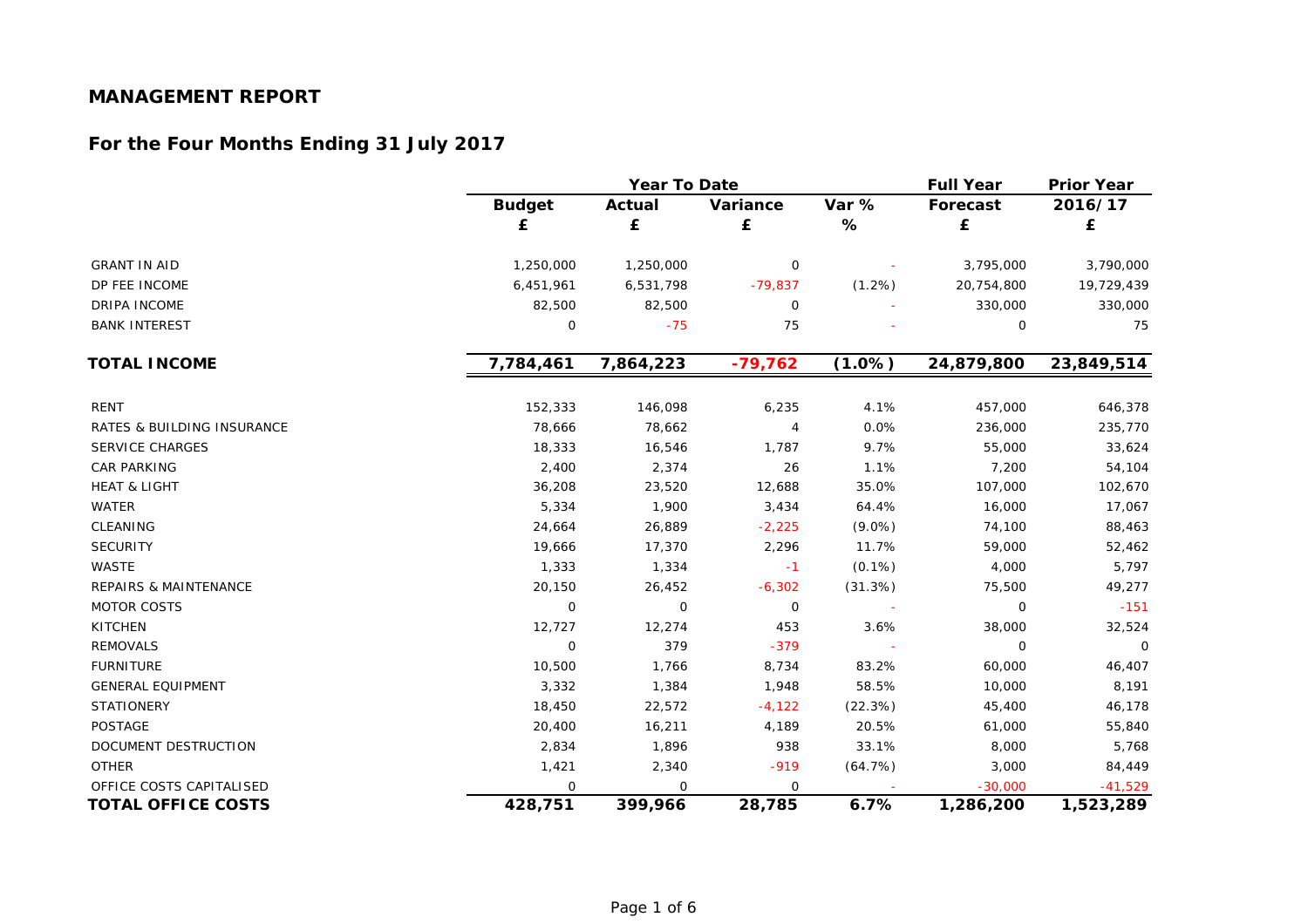|                                  |               | Year To Date |                | <b>Full Year</b> | <b>Prior Year</b> |            |
|----------------------------------|---------------|--------------|----------------|------------------|-------------------|------------|
|                                  | <b>Budget</b> | Actual       | Variance       | Var %            | Forecast          | 2016/17    |
|                                  | £             | £            | £              | ℅                | £                 | £          |
| <b>GRANT IN AID</b>              | 1,250,000     | 1,250,000    | $\mathsf O$    |                  | 3,795,000         | 3,790,000  |
| DP FEE INCOME                    | 6,451,961     | 6,531,798    | $-79,837$      | (1.2%)           | 20,754,800        | 19,729,439 |
| DRIPA INCOME                     | 82,500        | 82,500       | $\mathbf 0$    |                  | 330,000           | 330,000    |
| <b>BANK INTEREST</b>             | 0             | $-75$        | 75             |                  | 0                 | 75         |
| <b>TOTAL INCOME</b>              | 7,784,461     | 7,864,223    | $-79,762$      | (1.0%)           | 24,879,800        | 23,849,514 |
| <b>RENT</b>                      | 152,333       | 146,098      | 6,235          | 4.1%             | 457,000           | 646,378    |
| RATES & BUILDING INSURANCE       | 78,666        | 78,662       | $\overline{4}$ | 0.0%             | 236,000           | 235,770    |
| <b>SERVICE CHARGES</b>           | 18,333        | 16,546       | 1,787          | 9.7%             | 55,000            | 33,624     |
| <b>CAR PARKING</b>               | 2,400         | 2,374        | 26             | 1.1%             | 7,200             | 54,104     |
| <b>HEAT &amp; LIGHT</b>          | 36,208        | 23,520       | 12,688         | 35.0%            | 107,000           | 102,670    |
| <b>WATER</b>                     | 5,334         | 1,900        | 3,434          | 64.4%            | 16,000            | 17,067     |
| CLEANING                         | 24,664        | 26,889       | $-2,225$       | $(9.0\%)$        | 74,100            | 88,463     |
| <b>SECURITY</b>                  | 19,666        | 17,370       | 2,296          | 11.7%            | 59,000            | 52,462     |
| WASTE                            | 1,333         | 1,334        | $-1$           | $(0.1\%)$        | 4,000             | 5,797      |
| <b>REPAIRS &amp; MAINTENANCE</b> | 20,150        | 26,452       | $-6,302$       | (31.3%)          | 75,500            | 49,277     |
| <b>MOTOR COSTS</b>               | $\mathbf 0$   | 0            | $\mathbf 0$    |                  | 0                 | $-151$     |
| <b>KITCHEN</b>                   | 12,727        | 12,274       | 453            | 3.6%             | 38,000            | 32,524     |
| <b>REMOVALS</b>                  | $\mathbf 0$   | 379          | $-379$         |                  | $\mathbf 0$       | $\Omega$   |
| <b>FURNITURE</b>                 | 10,500        | 1,766        | 8,734          | 83.2%            | 60,000            | 46,407     |
| <b>GENERAL EQUIPMENT</b>         | 3,332         | 1,384        | 1,948          | 58.5%            | 10,000            | 8,191      |
| <b>STATIONERY</b>                | 18,450        | 22,572       | $-4,122$       | (22.3%)          | 45,400            | 46,178     |
| POSTAGE                          | 20,400        | 16,211       | 4,189          | 20.5%            | 61,000            | 55,840     |
| DOCUMENT DESTRUCTION             | 2,834         | 1,896        | 938            | 33.1%            | 8,000             | 5,768      |
| <b>OTHER</b>                     | 1,421         | 2,340        | $-919$         | (64.7%)          | 3,000             | 84,449     |
| OFFICE COSTS CAPITALISED         | $\mathbf 0$   | $\mathbf 0$  | 0              |                  | $-30,000$         | $-41,529$  |
| <b>TOTAL OFFICE COSTS</b>        | 428,751       | 399,966      | 28,785         | 6.7%             | 1,286,200         | 1,523,289  |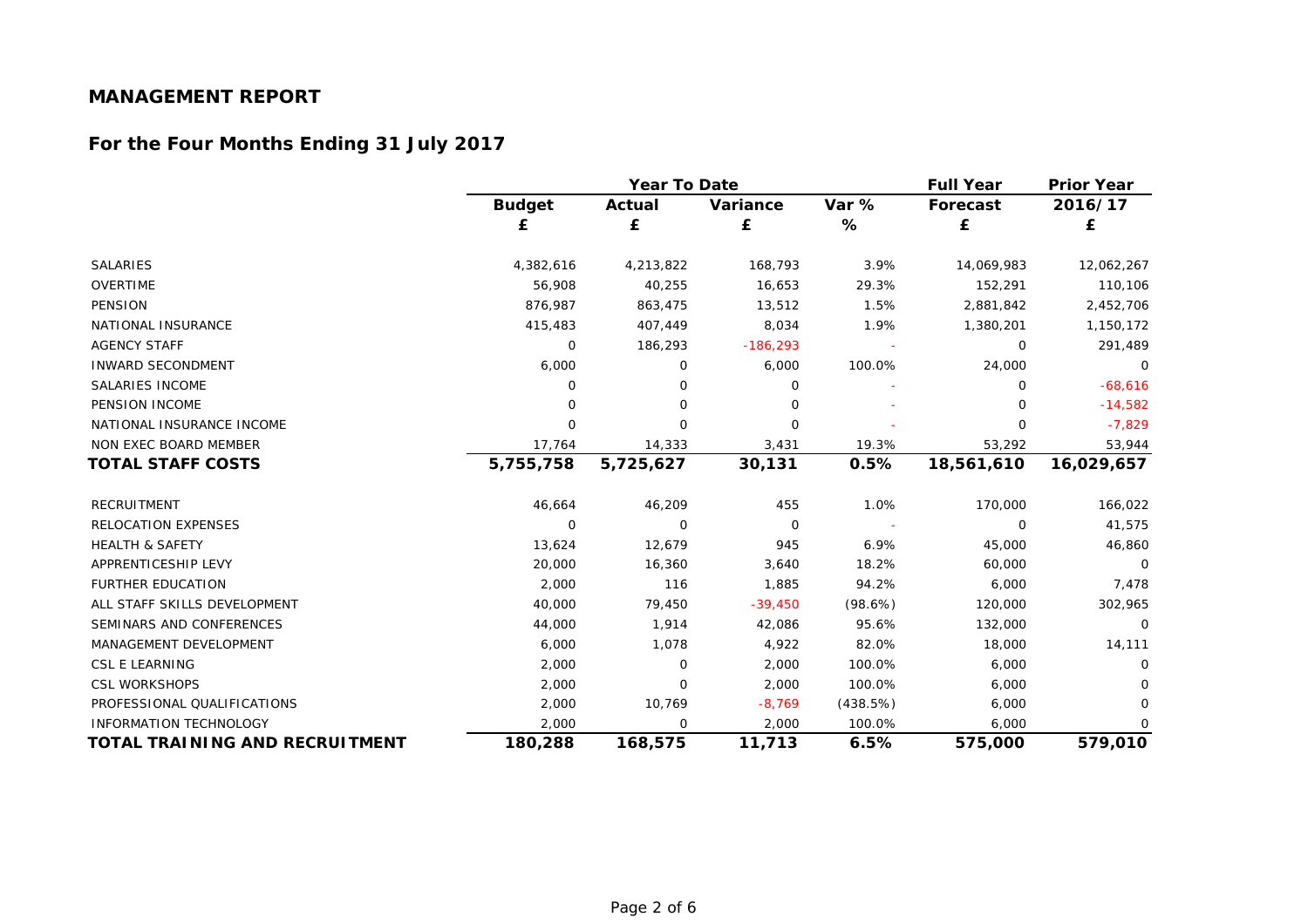|                                |               | Year To Date  |             | <b>Full Year</b> | <b>Prior Year</b> |             |
|--------------------------------|---------------|---------------|-------------|------------------|-------------------|-------------|
|                                | <b>Budget</b> | <b>Actual</b> | Variance    | Var %            | <b>Forecast</b>   | 2016/17     |
|                                | £             | £             | £           | %                | £                 | £           |
| <b>SALARIES</b>                | 4,382,616     | 4,213,822     | 168,793     | 3.9%             | 14,069,983        | 12,062,267  |
| <b>OVERTIME</b>                | 56,908        | 40,255        | 16,653      | 29.3%            | 152,291           | 110,106     |
| <b>PENSION</b>                 | 876,987       | 863,475       | 13,512      | 1.5%             | 2,881,842         | 2,452,706   |
| <b>NATIONAL INSURANCE</b>      | 415,483       | 407,449       | 8,034       | 1.9%             | 1,380,201         | 1,150,172   |
| <b>AGENCY STAFF</b>            | 0             | 186,293       | $-186,293$  |                  | $\mathbf 0$       | 291,489     |
| <b>INWARD SECONDMENT</b>       | 6,000         | 0             | 6,000       | 100.0%           | 24,000            | $\Omega$    |
| SALARIES INCOME                | 0             | $\Omega$      | 0           |                  | $\Omega$          | $-68,616$   |
| PENSION INCOME                 | 0             | $\mathbf 0$   | O           |                  | 0                 | $-14,582$   |
| NATIONAL INSURANCE INCOME      | $\Omega$      | $\Omega$      | $\mathbf 0$ |                  | $\Omega$          | $-7,829$    |
| NON EXEC BOARD MEMBER          | 17,764        | 14,333        | 3,431       | 19.3%            | 53,292            | 53,944      |
| <b>TOTAL STAFF COSTS</b>       | 5,755,758     | 5,725,627     | 30,131      | 0.5%             | 18,561,610        | 16,029,657  |
| <b>RECRUITMENT</b>             | 46,664        | 46,209        | 455         | 1.0%             | 170,000           | 166,022     |
| <b>RELOCATION EXPENSES</b>     | $\Omega$      | $\Omega$      | 0           |                  | $\Omega$          | 41,575      |
| <b>HEALTH &amp; SAFETY</b>     | 13,624        | 12,679        | 945         | 6.9%             | 45,000            | 46,860      |
| APPRENTICESHIP LEVY            | 20,000        | 16,360        | 3,640       | 18.2%            | 60,000            | $\mathbf 0$ |
| <b>FURTHER EDUCATION</b>       | 2,000         | 116           | 1,885       | 94.2%            | 6,000             | 7,478       |
| ALL STAFF SKILLS DEVELOPMENT   | 40,000        | 79,450        | $-39,450$   | (98.6%)          | 120,000           | 302,965     |
| SEMINARS AND CONFERENCES       | 44,000        | 1,914         | 42,086      | 95.6%            | 132,000           | $\mathbf 0$ |
| MANAGEMENT DEVELOPMENT         | 6,000         | 1,078         | 4,922       | 82.0%            | 18,000            | 14,111      |
| <b>CSL E LEARNING</b>          | 2,000         | 0             | 2,000       | 100.0%           | 6,000             | 0           |
| <b>CSL WORKSHOPS</b>           | 2,000         | $\mathbf 0$   | 2,000       | 100.0%           | 6,000             |             |
| PROFESSIONAL QUALIFICATIONS    | 2,000         | 10,769        | $-8,769$    | (438.5%)         | 6,000             | 0           |
| <b>INFORMATION TECHNOLOGY</b>  | 2,000         | 0             | 2,000       | 100.0%           | 6,000             | 0           |
| TOTAL TRAINING AND RECRUITMENT | 180,288       | 168,575       | 11,713      | 6.5%             | 575,000           | 579,010     |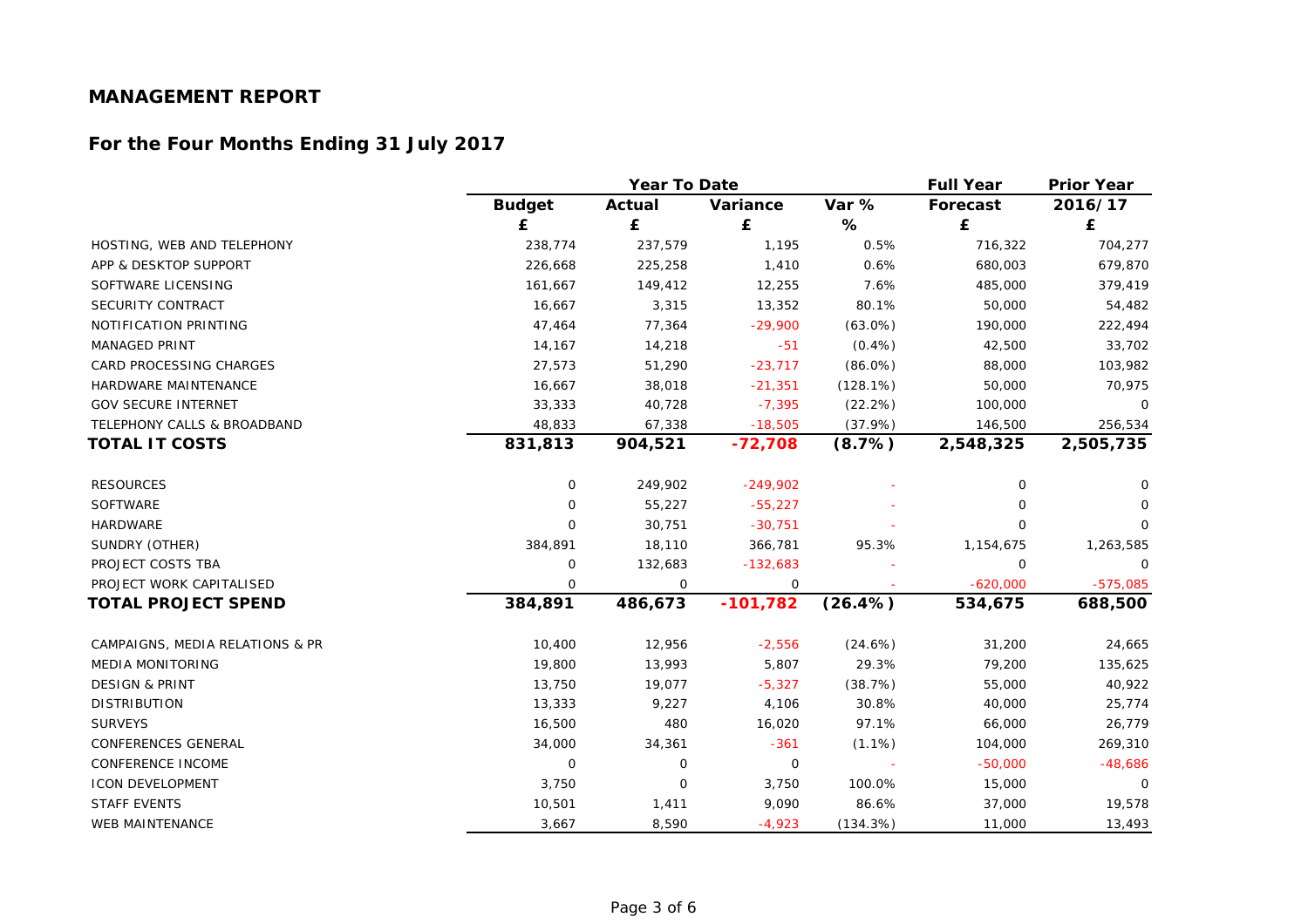|                                 |               | <b>Year To Date</b> |             | <b>Full Year</b> | <b>Prior Year</b> |             |
|---------------------------------|---------------|---------------------|-------------|------------------|-------------------|-------------|
|                                 | <b>Budget</b> | <b>Actual</b>       | Variance    | Var %            | Forecast          | 2016/17     |
|                                 | £             | £                   | £           | $\%$             | £                 | £           |
| HOSTING, WEB AND TELEPHONY      | 238,774       | 237,579             | 1,195       | 0.5%             | 716,322           | 704,277     |
| APP & DESKTOP SUPPORT           | 226,668       | 225,258             | 1,410       | 0.6%             | 680,003           | 679,870     |
| SOFTWARE LICENSING              | 161,667       | 149,412             | 12,255      | 7.6%             | 485,000           | 379,419     |
| SECURITY CONTRACT               | 16,667        | 3,315               | 13,352      | 80.1%            | 50,000            | 54,482      |
| NOTIFICATION PRINTING           | 47,464        | 77,364              | $-29,900$   | $(63.0\%)$       | 190,000           | 222,494     |
| <b>MANAGED PRINT</b>            | 14,167        | 14,218              | $-51$       | $(0.4\%)$        | 42,500            | 33,702      |
| CARD PROCESSING CHARGES         | 27,573        | 51,290              | $-23,717$   | $(86.0\%)$       | 88,000            | 103,982     |
| HARDWARE MAINTENANCE            | 16,667        | 38,018              | $-21,351$   | $(128.1\%)$      | 50,000            | 70,975      |
| <b>GOV SECURE INTERNET</b>      | 33,333        | 40,728              | $-7,395$    | (22.2%)          | 100,000           | $\Omega$    |
| TELEPHONY CALLS & BROADBAND     | 48,833        | 67,338              | $-18,505$   | (37.9%)          | 146,500           | 256,534     |
| <b>TOTAL IT COSTS</b>           | 831,813       | 904,521             | $-72,708$   | (8.7%)           | 2,548,325         | 2,505,735   |
| <b>RESOURCES</b>                | 0             | 249,902             | $-249,902$  |                  | 0                 | 0           |
| <b>SOFTWARE</b>                 | $\Omega$      | 55,227              | $-55,227$   |                  | $\Omega$          | $\Omega$    |
| <b>HARDWARE</b>                 | $\mathbf 0$   | 30,751              | $-30,751$   |                  | $\mathbf{O}$      | 0           |
| SUNDRY (OTHER)                  | 384,891       | 18,110              | 366,781     | 95.3%            | 1,154,675         | 1,263,585   |
| PROJECT COSTS TBA               | 0             | 132,683             | $-132,683$  |                  | 0                 | $\mathbf 0$ |
| PROJECT WORK CAPITALISED        | $\mathbf 0$   | 0                   | 0           |                  | $-620,000$        | $-575,085$  |
| <b>TOTAL PROJECT SPEND</b>      | 384,891       | 486,673             | $-101,782$  | (26.4%)          | 534,675           | 688,500     |
| CAMPAIGNS, MEDIA RELATIONS & PR | 10,400        | 12,956              | $-2,556$    | (24.6%)          | 31,200            | 24,665      |
| <b>MEDIA MONITORING</b>         | 19,800        | 13,993              | 5,807       | 29.3%            | 79,200            | 135,625     |
| <b>DESIGN &amp; PRINT</b>       | 13,750        | 19,077              | $-5,327$    | (38.7%)          | 55,000            | 40,922      |
| <b>DISTRIBUTION</b>             | 13,333        | 9,227               | 4,106       | 30.8%            | 40,000            | 25,774      |
| <b>SURVEYS</b>                  | 16,500        | 480                 | 16,020      | 97.1%            | 66,000            | 26,779      |
| <b>CONFERENCES GENERAL</b>      | 34,000        | 34,361              | $-361$      | $(1.1\%)$        | 104,000           | 269,310     |
| <b>CONFERENCE INCOME</b>        | 0             | 0                   | $\mathsf O$ |                  | $-50,000$         | $-48,686$   |
| <b>ICON DEVELOPMENT</b>         | 3,750         | $\mathbf 0$         | 3,750       | 100.0%           | 15,000            | 0           |
| <b>STAFF EVENTS</b>             | 10,501        | 1,411               | 9,090       | 86.6%            | 37,000            | 19,578      |
| <b>WEB MAINTENANCE</b>          | 3,667         | 8,590               | $-4,923$    | (134.3%)         | 11,000            | 13,493      |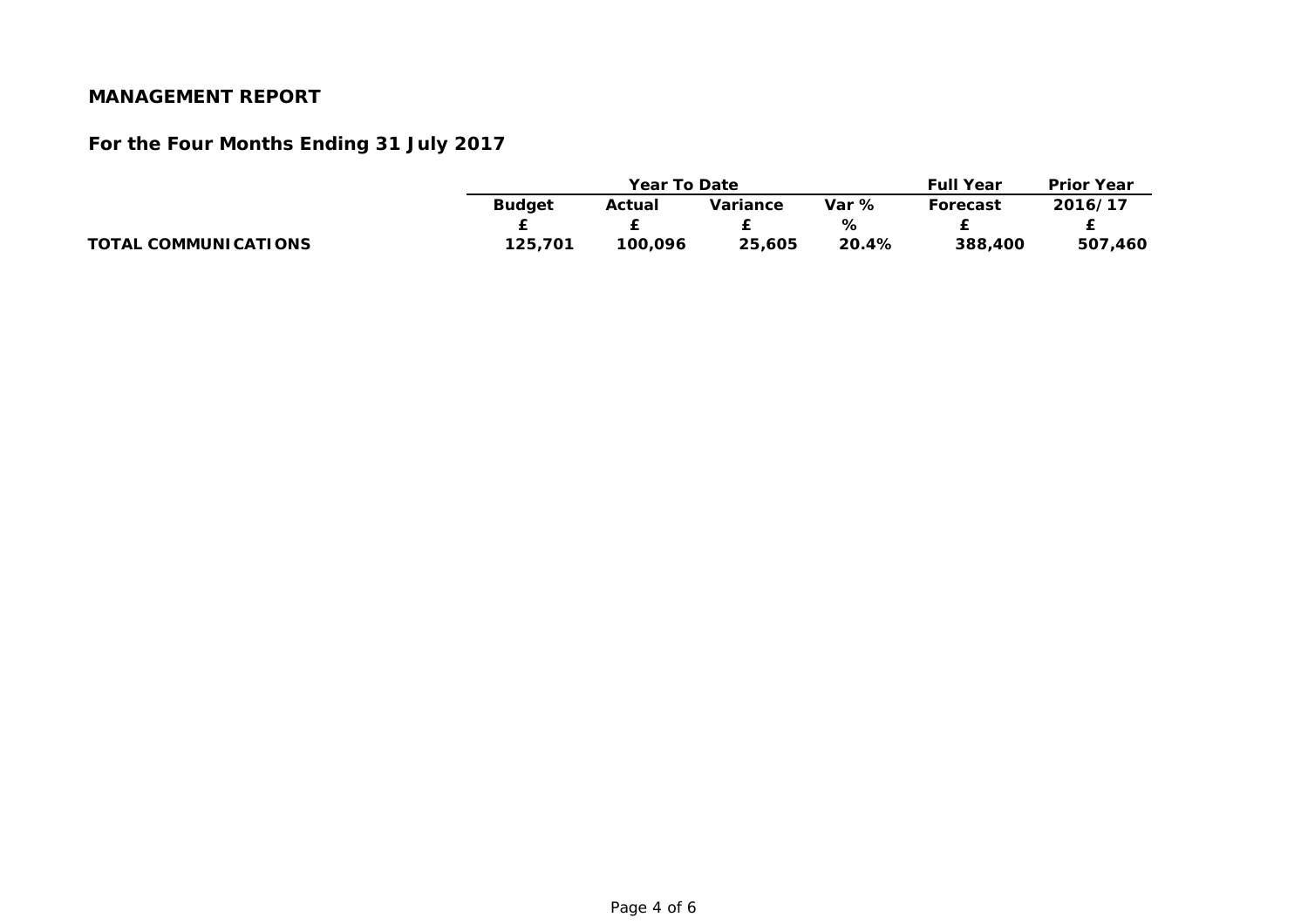|                             |               | <b>Year To Date</b>         | <b>Full Year</b> | <b>Prior Year</b> |  |         |  |
|-----------------------------|---------------|-----------------------------|------------------|-------------------|--|---------|--|
|                             | <b>Budget</b> | Var %<br>Variance<br>Actual |                  |                   |  | 2016/17 |  |
|                             |               |                             |                  | %                 |  |         |  |
| <b>TOTAL COMMUNICATIONS</b> | 125,701       | 100,096                     | 388,400          | 507,460           |  |         |  |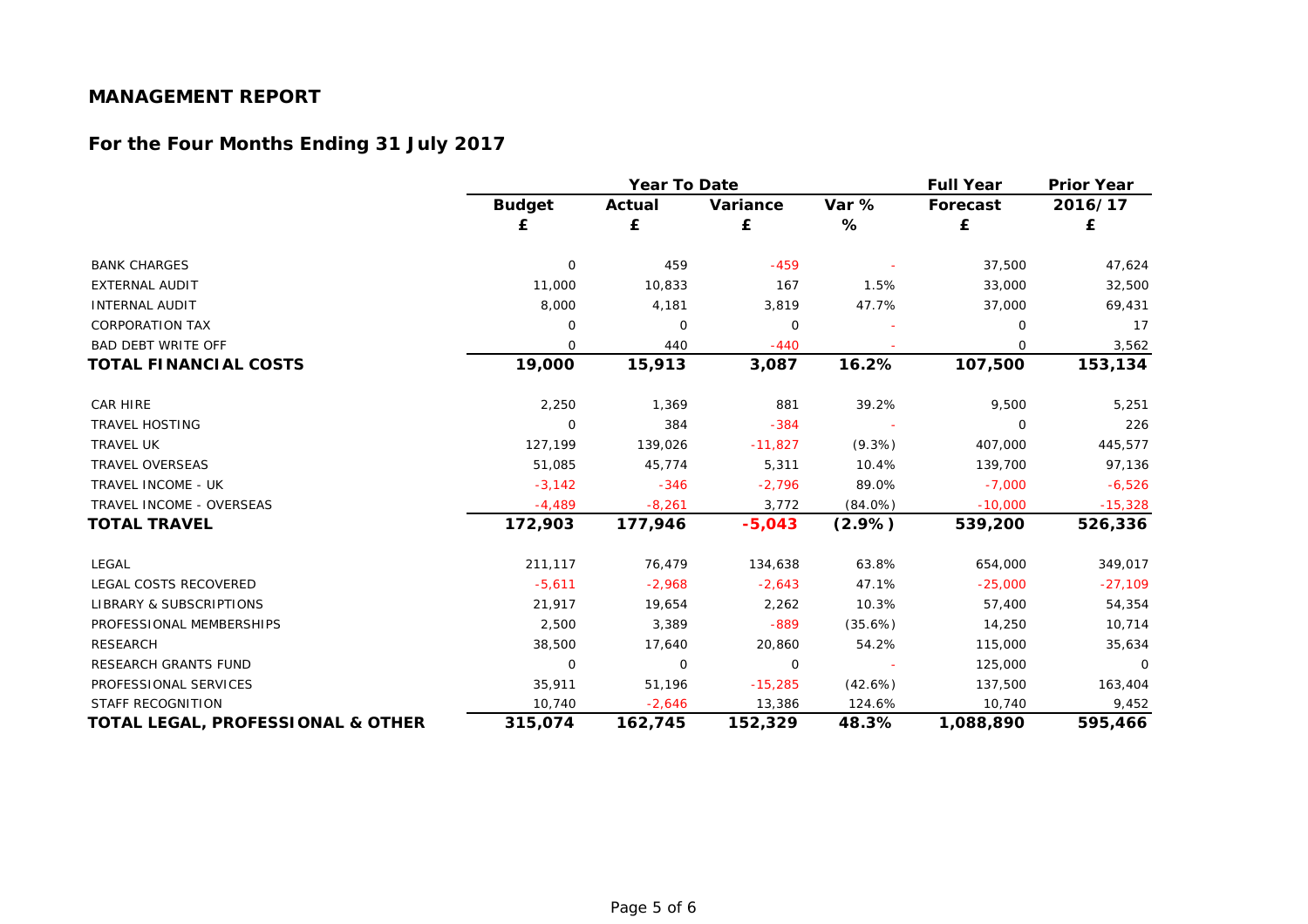|                                              |               | Year To Date |             | <b>Full Year</b> | <b>Prior Year</b> |           |
|----------------------------------------------|---------------|--------------|-------------|------------------|-------------------|-----------|
|                                              | <b>Budget</b> | Actual       | Variance    | Var %            | Forecast          | 2016/17   |
|                                              | £             | £            | £           | %                | £                 | £         |
| <b>BANK CHARGES</b>                          | $\mathbf 0$   | 459          | $-459$      |                  | 37,500            | 47,624    |
| <b>EXTERNAL AUDIT</b>                        | 11,000        | 10,833       | 167         | 1.5%             | 33,000            | 32,500    |
| <b>INTERNAL AUDIT</b>                        | 8,000         | 4,181        | 3,819       | 47.7%            | 37,000            | 69,431    |
| <b>CORPORATION TAX</b>                       | $\Omega$      | $\Omega$     | $\mathbf 0$ |                  | $\Omega$          | 17        |
| <b>BAD DEBT WRITE OFF</b>                    | $\mathbf 0$   | 440          | $-440$      |                  | $\mathbf 0$       | 3,562     |
| <b>TOTAL FINANCIAL COSTS</b>                 | 19,000        | 15,913       | 3,087       | 16.2%            | 107,500           | 153,134   |
| CAR HIRE                                     | 2,250         | 1,369        | 881         | 39.2%            | 9,500             | 5,251     |
| <b>TRAVEL HOSTING</b>                        | 0             | 384          | $-384$      |                  | 0                 | 226       |
| <b>TRAVEL UK</b>                             | 127,199       | 139,026      | $-11,827$   | $(9.3\%)$        | 407,000           | 445,577   |
| <b>TRAVEL OVERSEAS</b>                       | 51,085        | 45,774       | 5,311       | 10.4%            | 139,700           | 97,136    |
| <b>TRAVEL INCOME - UK</b>                    | $-3,142$      | $-346$       | $-2,796$    | 89.0%            | $-7,000$          | $-6,526$  |
| <b>TRAVEL INCOME - OVERSEAS</b>              | $-4,489$      | $-8,261$     | 3,772       | $(84.0\%)$       | $-10,000$         | $-15,328$ |
| <b>TOTAL TRAVEL</b>                          | 172,903       | 177,946      | $-5,043$    | $(2.9\%)$        | 539,200           | 526,336   |
| LEGAL                                        | 211,117       | 76,479       | 134,638     | 63.8%            | 654,000           | 349,017   |
| LEGAL COSTS RECOVERED                        | $-5,611$      | $-2,968$     | $-2,643$    | 47.1%            | $-25,000$         | $-27,109$ |
| LIBRARY & SUBSCRIPTIONS                      | 21,917        | 19,654       | 2,262       | 10.3%            | 57,400            | 54,354    |
| PROFESSIONAL MEMBERSHIPS                     | 2,500         | 3,389        | $-889$      | (35.6%)          | 14,250            | 10,714    |
| <b>RESEARCH</b>                              | 38,500        | 17,640       | 20,860      | 54.2%            | 115,000           | 35,634    |
| <b>RESEARCH GRANTS FUND</b>                  | $\mathbf 0$   | $\mathbf 0$  | $\mathbf 0$ |                  | 125,000           | $\circ$   |
| PROFESSIONAL SERVICES                        | 35,911        | 51,196       | $-15,285$   | (42.6%)          | 137,500           | 163,404   |
| <b>STAFF RECOGNITION</b>                     | 10,740        | $-2,646$     | 13,386      | 124.6%           | 10,740            | 9,452     |
| <b>TOTAL LEGAL, PROFESSIONAL &amp; OTHER</b> | 315,074       | 162,745      | 152,329     | 48.3%            | 1,088,890         | 595,466   |